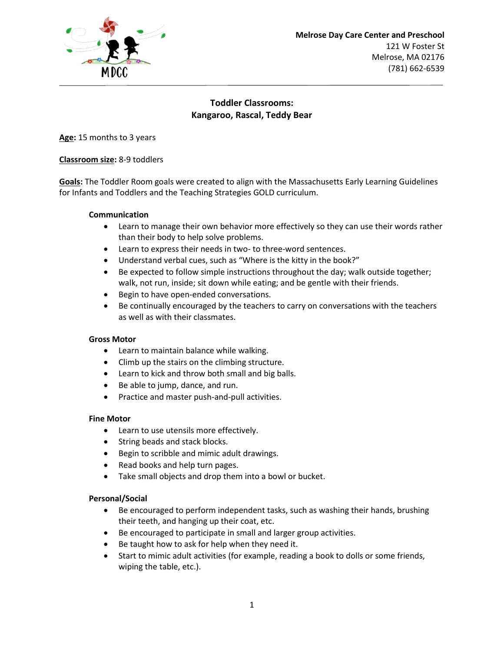

# **Toddler Classrooms: Kangaroo, Rascal, Teddy Bear**

**Age:** 15 months to 3 years

# **Classroom size:** 8-9 toddlers

**Goals:** The Toddler Room goals were created to align with the Massachusetts Early Learning Guidelines for Infants and Toddlers and the Teaching Strategies GOLD curriculum.

### **Communication**

- Learn to manage their own behavior more effectively so they can use their words rather than their body to help solve problems.
- Learn to express their needs in two- to three-word sentences.
- Understand verbal cues, such as "Where is the kitty in the book?"
- Be expected to follow simple instructions throughout the day; walk outside together; walk, not run, inside; sit down while eating; and be gentle with their friends.
- Begin to have open-ended conversations.
- Be continually encouraged by the teachers to carry on conversations with the teachers as well as with their classmates.

### **Gross Motor**

- Learn to maintain balance while walking.
- Climb up the stairs on the climbing structure.
- Learn to kick and throw both small and big balls.
- Be able to jump, dance, and run.
- Practice and master push-and-pull activities.

### **Fine Motor**

- Learn to use utensils more effectively.
- String beads and stack blocks.
- Begin to scribble and mimic adult drawings.
- Read books and help turn pages.
- Take small objects and drop them into a bowl or bucket.

### **Personal/Social**

- Be encouraged to perform independent tasks, such as washing their hands, brushing their teeth, and hanging up their coat, etc.
- Be encouraged to participate in small and larger group activities.
- Be taught how to ask for help when they need it.
- Start to mimic adult activities (for example, reading a book to dolls or some friends, wiping the table, etc.).